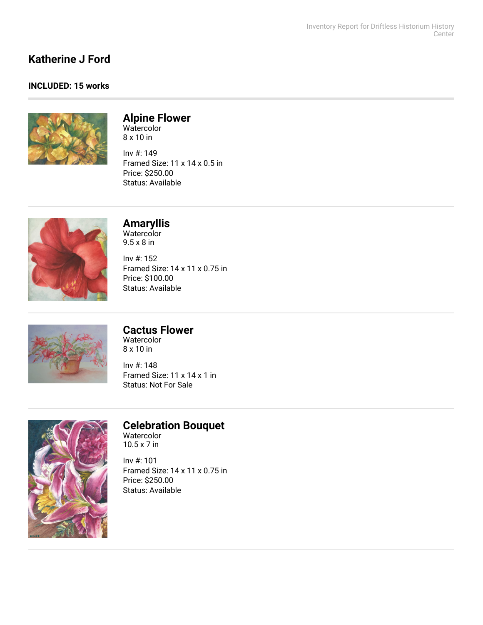## **Katherine J Ford**

#### **INCLUDED: 15 works**



# **Alpine Flower**

Watercolor 8 x 10 in

Inv #: 149 Framed Size: 11 x 14 x 0.5 in Price: \$250.00 Status: Available



## **Amaryllis**

Watercolor 9.5 x 8 in

Inv #: 152 Framed Size: 14 x 11 x 0.75 in Price: \$100.00 Status: Available



## **Cactus Flower**

Watercolor 8 x 10 in

Inv #: 148 Framed Size: 11 x 14 x 1 in Status: Not For Sale



## **Celebration Bouquet**

Watercolor 10.5 x 7 in

Inv #: 101 Framed Size: 14 x 11 x 0.75 in Price: \$250.00 Status: Available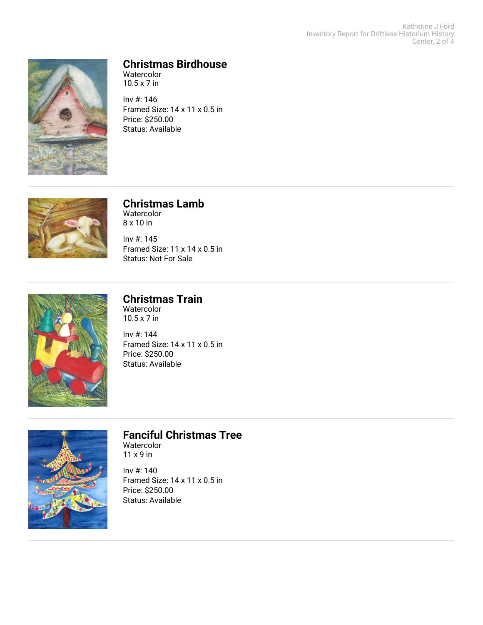Katherine J Ford Inventory Report for Driftless Historium History Center, 2 of 4



### **Christmas Birdhouse**

Watercolor 10.5 x 7 in

Inv #: 146 Framed Size: 14 x 11 x 0.5 in Price: \$250.00 Status: Available



#### **Christmas Lamb** Watercolor 8 x 10 in

Inv #: 145 Framed Size: 11 x 14 x 0.5 in Status: Not For Sale



#### **Christmas Train** Watercolor

10.5 x 7 in

Inv #: 144 Framed Size: 14 x 11 x 0.5 in Price: \$250.00 Status: Available



## **Fanciful Christmas Tree**

Watercolor 11 x 9 in

Inv #: 140 Framed Size: 14 x 11 x 0.5 in Price: \$250.00 Status: Available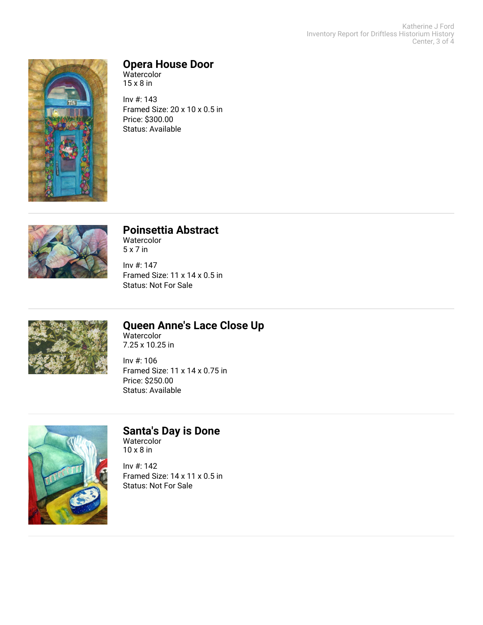Katherine J Ford Inventory Report for Driftless Historium History Center, 3 of 4



#### **Opera House Door**

Watercolor 15 x 8 in

Inv #: 143 Framed Size: 20 x 10 x 0.5 in Price: \$300.00 Status: Available



## **Poinsettia Abstract**

Watercolor 5 x 7 in

Inv #: 147 Framed Size: 11 x 14 x 0.5 in Status: Not For Sale



## **Queen Anne's Lace Close Up**

Watercolor 7.25 x 10.25 in

Inv #: 106 Framed Size: 11 x 14 x 0.75 in Price: \$250.00 Status: Available



### **Santa's Day is Done**

Watercolor 10 x 8 in

Inv #: 142 Framed Size: 14 x 11 x 0.5 in Status: Not For Sale